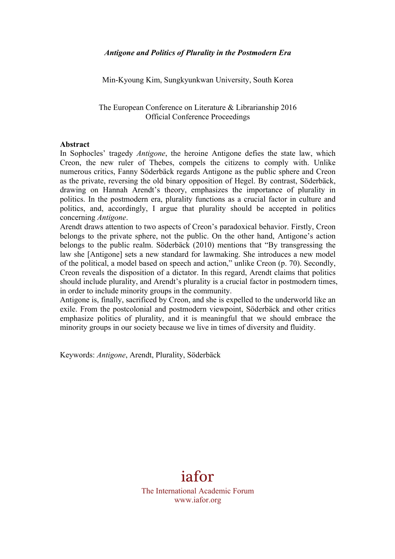Min-Kyoung Kim, Sungkyunkwan University, South Korea

The European Conference on Literature & Librarianship 2016 Official Conference Proceedings

## **Abstract**

In Sophocles' tragedy *Antigone*, the heroine Antigone defies the state law, which Creon, the new ruler of Thebes, compels the citizens to comply with. Unlike numerous critics, Fanny Söderbäck regards Antigone as the public sphere and Creon as the private, reversing the old binary opposition of Hegel. By contrast, Söderbäck, drawing on Hannah Arendt's theory, emphasizes the importance of plurality in politics. In the postmodern era, plurality functions as a crucial factor in culture and politics, and, accordingly, I argue that plurality should be accepted in politics concerning *Antigone*.

Arendt draws attention to two aspects of Creon's paradoxical behavior. Firstly, Creon belongs to the private sphere, not the public. On the other hand, Antigone's action belongs to the public realm. Söderbäck (2010) mentions that "By transgressing the law she [Antigone] sets a new standard for lawmaking. She introduces a new model of the political, a model based on speech and action," unlike Creon (p. 70). Secondly, Creon reveals the disposition of a dictator. In this regard, Arendt claims that politics should include plurality, and Arendt's plurality is a crucial factor in postmodern times, in order to include minority groups in the community.

Antigone is, finally, sacrificed by Creon, and she is expelled to the underworld like an exile. From the postcolonial and postmodern viewpoint, Söderbäck and other critics emphasize politics of plurality, and it is meaningful that we should embrace the minority groups in our society because we live in times of diversity and fluidity.

Keywords: *Antigone*, Arendt, Plurality, Söderbäck

## iafor

The International Academic Forum www.iafor.org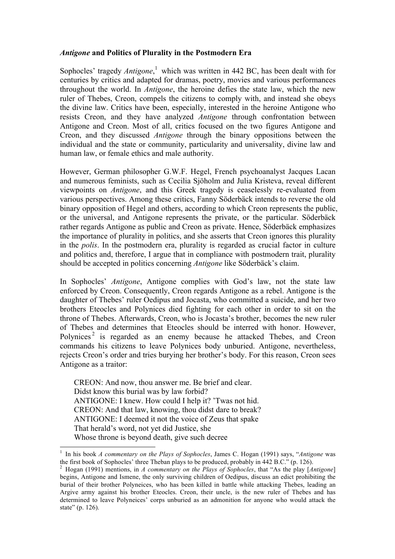## *Antigone* **and Politics of Plurality in the Postmodern Era**

Sophocles' tragedy *Antigone*, <sup>1</sup> which was written in 442 BC, has been dealt with for centuries by critics and adapted for dramas, poetry, movies and various performances throughout the world. In *Antigone*, the heroine defies the state law, which the new ruler of Thebes, Creon, compels the citizens to comply with, and instead she obeys the divine law. Critics have been, especially, interested in the heroine Antigone who resists Creon, and they have analyzed *Antigone* through confrontation between Antigone and Creon. Most of all, critics focused on the two figures Antigone and Creon, and they discussed *Antigone* through the binary oppositions between the individual and the state or community, particularity and universality, divine law and human law, or female ethics and male authority.

However, German philosopher G.W.F. Hegel, French psychoanalyst Jacques Lacan and numerous feminists, such as Cecilia Sjöholm and Julia Kristeva, reveal different viewpoints on *Antigone*, and this Greek tragedy is ceaselessly re-evaluated from various perspectives. Among these critics, Fanny Söderbäck intends to reverse the old binary opposition of Hegel and others, according to which Creon represents the public, or the universal, and Antigone represents the private, or the particular. Söderbäck rather regards Antigone as public and Creon as private. Hence, Söderbäck emphasizes the importance of plurality in politics, and she asserts that Creon ignores this plurality in the *polis*. In the postmodern era, plurality is regarded as crucial factor in culture and politics and, therefore, I argue that in compliance with postmodern trait, plurality should be accepted in politics concerning *Antigone* like Söderbäck's claim.

In Sophocles' *Antigone*, Antigone complies with God's law, not the state law enforced by Creon. Consequently, Creon regards Antigone as a rebel. Antigone is the daughter of Thebes' ruler Oedipus and Jocasta, who committed a suicide, and her two brothers Eteocles and Polynices died fighting for each other in order to sit on the throne of Thebes. Afterwards, Creon, who is Jocasta's brother, becomes the new ruler of Thebes and determines that Eteocles should be interred with honor. However, Polynices<sup>2</sup> is regarded as an enemy because he attacked Thebes, and Creon commands his citizens to leave Polynices body unburied. Antigone, nevertheless, rejects Creon's order and tries burying her brother's body. For this reason, Creon sees Antigone as a traitor:

CREON: And now, thou answer me. Be brief and clear. Didst know this burial was by law forbid? ANTIGONE: I knew. How could I help it? 'Twas not hid. CREON: And that law, knowing, thou didst dare to break? ANTIGONE: I deemed it not the voice of Zeus that spake That herald's word, not yet did Justice, she Whose throne is beyond death, give such decree

<sup>&</sup>lt;sup>1</sup> In his book *A commentary on the Plays of Sophocles*, James C. Hogan (1991) says, "*Antigone* was the first book of Sophocles' three Theban plays to be produced, probably in 442 B.C." (p. 126).

<sup>&</sup>lt;sup>2</sup> Hogan (1991) mentions, in *A commentary on the Plays of Sophocles*, that "As the play [*Antigone*] begins, Antigone and Ismene, the only surviving children of Oedipus, discuss an edict prohibiting the burial of their brother Polyneices, who has been killed in battle while attacking Thebes, leading an Argive army against his brother Eteocles. Creon, their uncle, is the new ruler of Thebes and has determined to leave Polyneices' corps unburied as an admonition for anyone who would attack the state" (p. 126).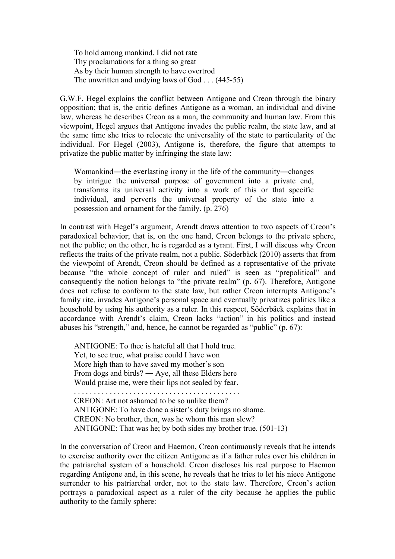To hold among mankind. I did not rate Thy proclamations for a thing so great As by their human strength to have overtrod The unwritten and undying laws of God . . . (445-55)

G.W.F. Hegel explains the conflict between Antigone and Creon through the binary opposition; that is, the critic defines Antigone as a woman, an individual and divine law, whereas he describes Creon as a man, the community and human law. From this viewpoint, Hegel argues that Antigone invades the public realm, the state law, and at the same time she tries to relocate the universality of the state to particularity of the individual. For Hegel (2003), Antigone is, therefore, the figure that attempts to privatize the public matter by infringing the state law:

Womankind—the everlasting irony in the life of the community—changes by intrigue the universal purpose of government into a private end, transforms its universal activity into a work of this or that specific individual, and perverts the universal property of the state into a possession and ornament for the family. (p. 276)

In contrast with Hegel's argument, Arendt draws attention to two aspects of Creon's paradoxical behavior; that is, on the one hand, Creon belongs to the private sphere, not the public; on the other, he is regarded as a tyrant. First, I will discuss why Creon reflects the traits of the private realm, not a public. Söderbäck (2010) asserts that from the viewpoint of Arendt, Creon should be defined as a representative of the private because "the whole concept of ruler and ruled" is seen as "prepolitical" and consequently the notion belongs to "the private realm" (p. 67). Therefore, Antigone does not refuse to conform to the state law, but rather Creon interrupts Antigone's family rite, invades Antigone's personal space and eventually privatizes politics like a household by using his authority as a ruler. In this respect, Söderbäck explains that in accordance with Arendt's claim, Creon lacks "action" in his politics and instead abuses his "strength," and, hence, he cannot be regarded as "public" (p. 67):

ANTIGONE: To thee is hateful all that I hold true. Yet, to see true, what praise could I have won More high than to have saved my mother's son From dogs and birds? ― Aye, all these Elders here Would praise me, were their lips not sealed by fear. . . . . . . . . . . . . . . . . . . . . . . . . . . . . . . . . . . . . . . . . . . CREON: Art not ashamed to be so unlike them? ANTIGONE: To have done a sister's duty brings no shame. CREON: No brother, then, was he whom this man slew? ANTIGONE: That was he; by both sides my brother true. (501-13)

In the conversation of Creon and Haemon, Creon continuously reveals that he intends to exercise authority over the citizen Antigone as if a father rules over his children in the patriarchal system of a household. Creon discloses his real purpose to Haemon regarding Antigone and, in this scene, he reveals that he tries to let his niece Antigone surrender to his patriarchal order, not to the state law. Therefore, Creon's action portrays a paradoxical aspect as a ruler of the city because he applies the public authority to the family sphere: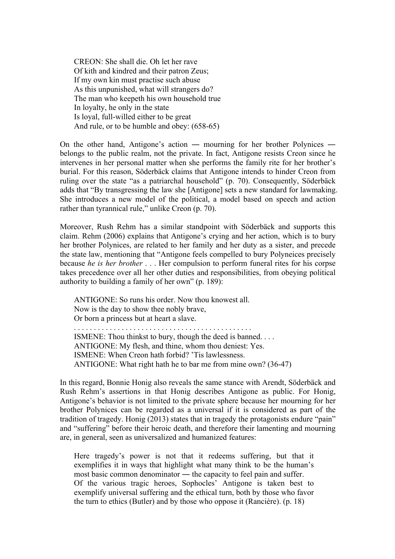CREON: She shall die. Oh let her rave Of kith and kindred and their patron Zeus; If my own kin must practise such abuse As this unpunished, what will strangers do? The man who keepeth his own household true In loyalty, he only in the state Is loyal, full-willed either to be great And rule, or to be humble and obey: (658-65)

On the other hand, Antigone's action ― mourning for her brother Polynices ― belongs to the public realm, not the private. In fact, Antigone resists Creon since he intervenes in her personal matter when she performs the family rite for her brother's burial. For this reason, Söderbäck claims that Antigone intends to hinder Creon from ruling over the state "as a patriarchal household" (p. 70). Consequently, Söderbäck adds that "By transgressing the law she [Antigone] sets a new standard for lawmaking. She introduces a new model of the political, a model based on speech and action rather than tyrannical rule," unlike Creon (p. 70).

Moreover, Rush Rehm has a similar standpoint with Söderbäck and supports this claim. Rehm (2006) explains that Antigone's crying and her action, which is to bury her brother Polynices, are related to her family and her duty as a sister, and precede the state law, mentioning that "Antigone feels compelled to bury Polyneices precisely because *he is her brother* . . . Her compulsion to perform funeral rites for his corpse takes precedence over all her other duties and responsibilities, from obeying political authority to building a family of her own" (p. 189):

ANTIGONE: So runs his order. Now thou knowest all. Now is the day to show thee nobly brave, Or born a princess but at heart a slave.

ISMENE: Thou thinkst to bury, though the deed is banned. . . . ANTIGONE: My flesh, and thine, whom thou deniest: Yes. ISMENE: When Creon hath forbid? 'Tis lawlessness. ANTIGONE: What right hath he to bar me from mine own? (36-47)

In this regard, Bonnie Honig also reveals the same stance with Arendt, Söderbäck and Rush Rehm's assertions in that Honig describes Antigone as public. For Honig, Antigone's behavior is not limited to the private sphere because her mourning for her brother Polynices can be regarded as a universal if it is considered as part of the tradition of tragedy. Honig (2013) states that in tragedy the protagonists endure "pain" and "suffering" before their heroic death, and therefore their lamenting and mourning are, in general, seen as universalized and humanized features:

Here tragedy's power is not that it redeems suffering, but that it exemplifies it in ways that highlight what many think to be the human's most basic common denominator ― the capacity to feel pain and suffer. Of the various tragic heroes, Sophocles' Antigone is taken best to exemplify universal suffering and the ethical turn, both by those who favor the turn to ethics (Butler) and by those who oppose it (Rancière). (p. 18)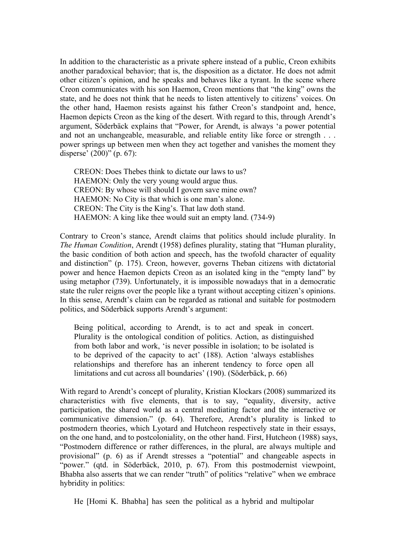In addition to the characteristic as a private sphere instead of a public, Creon exhibits another paradoxical behavior; that is, the disposition as a dictator. He does not admit other citizen's opinion, and he speaks and behaves like a tyrant. In the scene where Creon communicates with his son Haemon, Creon mentions that "the king" owns the state, and he does not think that he needs to listen attentively to citizens' voices. On the other hand, Haemon resists against his father Creon's standpoint and, hence, Haemon depicts Creon as the king of the desert. With regard to this, through Arendt's argument, Söderbäck explains that "Power, for Arendt, is always 'a power potential and not an unchangeable, measurable, and reliable entity like force or strength . . . power springs up between men when they act together and vanishes the moment they disperse' (200)" (p. 67):

CREON: Does Thebes think to dictate our laws to us? HAEMON: Only the very young would argue thus. CREON: By whose will should I govern save mine own? HAEMON: No City is that which is one man's alone. CREON: The City is the King's. That law doth stand. HAEMON: A king like thee would suit an empty land. (734-9)

Contrary to Creon's stance, Arendt claims that politics should include plurality. In *The Human Condition*, Arendt (1958) defines plurality, stating that "Human plurality, the basic condition of both action and speech, has the twofold character of equality and distinction" (p. 175). Creon, however, governs Theban citizens with dictatorial power and hence Haemon depicts Creon as an isolated king in the "empty land" by using metaphor (739). Unfortunately, it is impossible nowadays that in a democratic state the ruler reigns over the people like a tyrant without accepting citizen's opinions. In this sense, Arendt's claim can be regarded as rational and suitable for postmodern politics, and Söderbäck supports Arendt's argument:

Being political, according to Arendt, is to act and speak in concert. Plurality is the ontological condition of politics. Action, as distinguished from both labor and work, 'is never possible in isolation; to be isolated is to be deprived of the capacity to act' (188). Action 'always establishes relationships and therefore has an inherent tendency to force open all limitations and cut across all boundaries' (190). (Söderbäck, p. 66)

With regard to Arendt's concept of plurality, Kristian Klockars (2008) summarized its characteristics with five elements, that is to say, "equality, diversity, active participation, the shared world as a central mediating factor and the interactive or communicative dimension." (p. 64). Therefore, Arendt's plurality is linked to postmodern theories, which Lyotard and Hutcheon respectively state in their essays, on the one hand, and to postcoloniality, on the other hand. First, Hutcheon (1988) says, "Postmodern difference or rather differences, in the plural, are always multiple and provisional" (p. 6) as if Arendt stresses a "potential" and changeable aspects in "power." (qtd. in Söderbäck, 2010, p. 67). From this postmodernist viewpoint, Bhabha also asserts that we can render "truth" of politics "relative" when we embrace hybridity in politics:

He [Homi K. Bhabha] has seen the political as a hybrid and multipolar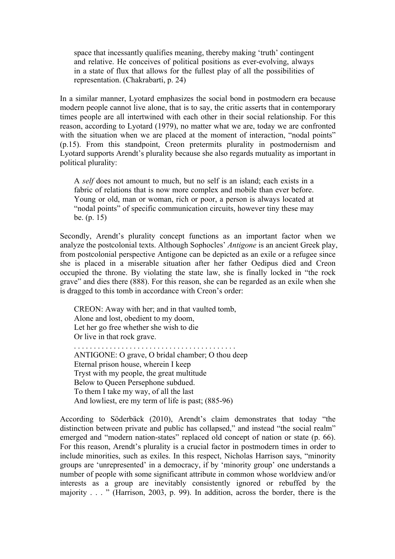space that incessantly qualifies meaning, thereby making 'truth' contingent and relative. He conceives of political positions as ever-evolving, always in a state of flux that allows for the fullest play of all the possibilities of representation. (Chakrabarti, p. 24)

In a similar manner, Lyotard emphasizes the social bond in postmodern era because modern people cannot live alone, that is to say, the critic asserts that in contemporary times people are all intertwined with each other in their social relationship. For this reason, according to Lyotard (1979), no matter what we are, today we are confronted with the situation when we are placed at the moment of interaction, "nodal points" (p.15). From this standpoint, Creon pretermits plurality in postmodernism and Lyotard supports Arendt's plurality because she also regards mutuality as important in political plurality:

A *self* does not amount to much, but no self is an island; each exists in a fabric of relations that is now more complex and mobile than ever before. Young or old, man or woman, rich or poor, a person is always located at "nodal points" of specific communication circuits, however tiny these may be. (p. 15)

Secondly, Arendt's plurality concept functions as an important factor when we analyze the postcolonial texts. Although Sophocles' *Antigone* is an ancient Greek play, from postcolonial perspective Antigone can be depicted as an exile or a refugee since she is placed in a miserable situation after her father Oedipus died and Creon occupied the throne. By violating the state law, she is finally locked in "the rock grave" and dies there (888). For this reason, she can be regarded as an exile when she is dragged to this tomb in accordance with Creon's order:

CREON: Away with her; and in that vaulted tomb, Alone and lost, obedient to my doom, Let her go free whether she wish to die Or live in that rock grave. . . . . . . . . . . . . . . . . . . . . . . . . . . . . . . . . . . . . . . . . . ANTIGONE: O grave, O bridal chamber; O thou deep

Eternal prison house, wherein I keep Tryst with my people, the great multitude Below to Queen Persephone subdued. To them I take my way, of all the last And lowliest, ere my term of life is past; (885-96)

According to Söderbäck (2010), Arendt's claim demonstrates that today "the distinction between private and public has collapsed," and instead "the social realm" emerged and "modern nation-states" replaced old concept of nation or state (p. 66). For this reason, Arendt's plurality is a crucial factor in postmodern times in order to include minorities, such as exiles. In this respect, Nicholas Harrison says, "minority groups are 'unrepresented' in a democracy, if by 'minority group' one understands a number of people with some significant attribute in common whose worldview and/or interests as a group are inevitably consistently ignored or rebuffed by the majority . . . " (Harrison, 2003, p. 99). In addition, across the border, there is the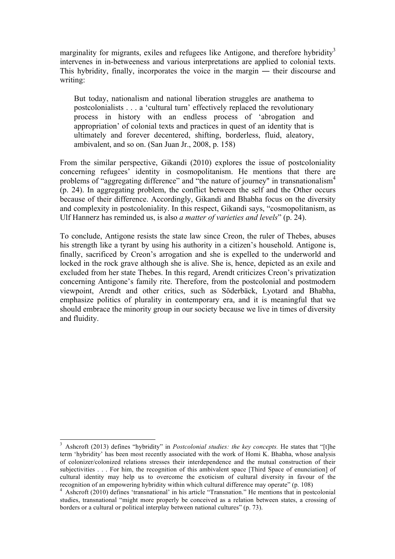marginality for migrants, exiles and refugees like Antigone, and therefore hybridity<sup>3</sup> intervenes in in-betweeness and various interpretations are applied to colonial texts. This hybridity, finally, incorporates the voice in the margin ― their discourse and writing:

But today, nationalism and national liberation struggles are anathema to postcolonialists . . . a 'cultural turn' effectively replaced the revolutionary process in history with an endless process of 'abrogation and appropriation' of colonial texts and practices in quest of an identity that is ultimately and forever decentered, shifting, borderless, fluid, aleatory, ambivalent, and so on. (San Juan Jr., 2008, p. 158)

From the similar perspective, Gikandi (2010) explores the issue of postcoloniality concerning refugees' identity in cosmopolitanism. He mentions that there are problems of "aggregating difference" and "the nature of journey" in transnationalism<sup>4</sup> (p. 24). In aggregating problem, the conflict between the self and the Other occurs because of their difference. Accordingly, Gikandi and Bhabha focus on the diversity and complexity in postcoloniality. In this respect, Gikandi says, "cosmopolitanism, as Ulf Hannerz has reminded us, is also *a matter of varieties and levels*" (p. 24).

To conclude, Antigone resists the state law since Creon, the ruler of Thebes, abuses his strength like a tyrant by using his authority in a citizen's household. Antigone is, finally, sacrificed by Creon's arrogation and she is expelled to the underworld and locked in the rock grave although she is alive. She is, hence, depicted as an exile and excluded from her state Thebes. In this regard, Arendt criticizes Creon's privatization concerning Antigone's family rite. Therefore, from the postcolonial and postmodern viewpoint, Arendt and other critics, such as Söderbäck, Lyotard and Bhabha, emphasize politics of plurality in contemporary era, and it is meaningful that we should embrace the minority group in our society because we live in times of diversity and fluidity.

 <sup>3</sup> Ashcroft (2013) defines "hybridity" in *Postcolonial studies: the key concepts.* He states that "[t]he term 'hybridity' has been most recently associated with the work of Homi K. Bhabha, whose analysis of colonizer/colonized relations stresses their interdependence and the mutual construction of their subjectivities . . . For him, the recognition of this ambivalent space [Third Space of enunciation] of cultural identity may help us to overcome the exoticism of cultural diversity in favour of the recognition of an empowering hybridity within which cultural difference may operate" (p. 108) <sup>4</sup> Ashcroft (2010) defines 'transnational' in his article "Transnation." He mentions that in postcolonial

studies, transnational "might more properly be conceived as a relation between states, a crossing of borders or a cultural or political interplay between national cultures" (p. 73).